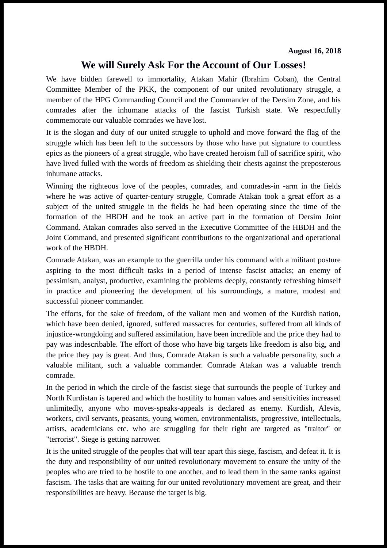## **We will Surely Ask For the Account of Our Losses!**

We have bidden farewell to immortality, Atakan Mahir (Ibrahim Coban), the Central Committee Member of the PKK, the component of our united revolutionary struggle, a member of the HPG Commanding Council and the Commander of the Dersim Zone, and his comrades after the inhumane attacks of the fascist Turkish state. We respectfully commemorate our valuable comrades we have lost.

It is the slogan and duty of our united struggle to uphold and move forward the flag of the struggle which has been left to the successors by those who have put signature to countless epics as the pioneers of a great struggle, who have created heroism full of sacrifice spirit, who have lived fulled with the words of freedom as shielding their chests against the preposterous inhumane attacks.

Winning the righteous love of the peoples, comrades, and comrades-in -arm in the fields where he was active of quarter-century struggle, Comrade Atakan took a great effort as a subject of the united struggle in the fields he had been operating since the time of the formation of the HBDH and he took an active part in the formation of Dersim Joint Command. Atakan comrades also served in the Executive Committee of the HBDH and the Joint Command, and presented significant contributions to the organizational and operational work of the HBDH.

Comrade Atakan, was an example to the guerrilla under his command with a militant posture aspiring to the most difficult tasks in a period of intense fascist attacks; an enemy of pessimism, analyst, productive, examining the problems deeply, constantly refreshing himself in practice and pioneering the development of his surroundings, a mature, modest and successful pioneer commander.

The efforts, for the sake of freedom, of the valiant men and women of the Kurdish nation, which have been denied, ignored, suffered massacres for centuries, suffered from all kinds of injustice-wrongdoing and suffered assimilation, have been incredible and the price they had to pay was indescribable. The effort of those who have big targets like freedom is also big, and the price they pay is great. And thus, Comrade Atakan is such a valuable personality, such a valuable militant, such a valuable commander. Comrade Atakan was a valuable trench comrade.

In the period in which the circle of the fascist siege that surrounds the people of Turkey and North Kurdistan is tapered and which the hostility to human values and sensitivities increased unlimitedly, anyone who moves-speaks-appeals is declared as enemy. Kurdish, Alevis, workers, civil servants, peasants, young women, environmentalists, progressive, intellectuals, artists, academicians etc. who are struggling for their right are targeted as "traitor" or "terrorist". Siege is getting narrower.

It is the united struggle of the peoples that will tear apart this siege, fascism, and defeat it. It is the duty and responsibility of our united revolutionary movement to ensure the unity of the peoples who are tried to be hostile to one another, and to lead them in the same ranks against fascism. The tasks that are waiting for our united revolutionary movement are great, and their responsibilities are heavy. Because the target is big.